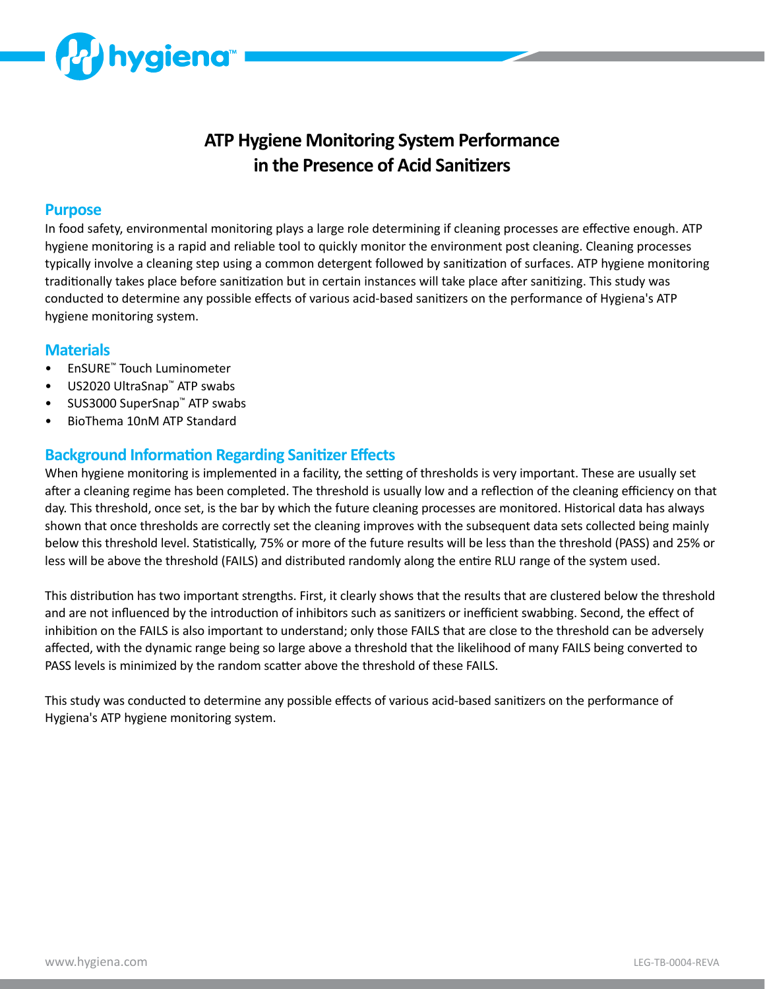

# **ATP Hygiene Monitoring System Performance in the Presence of Acid Sanitizers**

#### **Purpose**

In food safety, environmental monitoring plays a large role determining if cleaning processes are effective enough. ATP hygiene monitoring is a rapid and reliable tool to quickly monitor the environment post cleaning. Cleaning processes typically involve a cleaning step using a common detergent followed by sanitization of surfaces. ATP hygiene monitoring traditionally takes place before sanitization but in certain instances will take place after sanitizing. This study was conducted to determine any possible effects of various acid-based sanitizers on the performance of Hygiena's ATP hygiene monitoring system.

#### **Materials**

- EnSURE™ Touch Luminometer
- US2020 UltraSnap™ ATP swabs
- SUS3000 SuperSnap™ ATP swabs
- BioThema 10nM ATP Standard

### **Background Information Regarding Sanitizer Effects**

When hygiene monitoring is implemented in a facility, the setting of thresholds is very important. These are usually set after a cleaning regime has been completed. The threshold is usually low and a reflection of the cleaning efficiency on that day. This threshold, once set, is the bar by which the future cleaning processes are monitored. Historical data has always shown that once thresholds are correctly set the cleaning improves with the subsequent data sets collected being mainly below this threshold level. Statistically, 75% or more of the future results will be less than the threshold (PASS) and 25% or less will be above the threshold (FAILS) and distributed randomly along the entire RLU range of the system used.

This distribution has two important strengths. First, it clearly shows that the results that are clustered below the threshold and are not influenced by the introduction of inhibitors such as sanitizers or inefficient swabbing. Second, the effect of inhibition on the FAILS is also important to understand; only those FAILS that are close to the threshold can be adversely affected, with the dynamic range being so large above a threshold that the likelihood of many FAILS being converted to PASS levels is minimized by the random scatter above the threshold of these FAILS.

This study was conducted to determine any possible effects of various acid-based sanitizers on the performance of Hygiena's ATP hygiene monitoring system.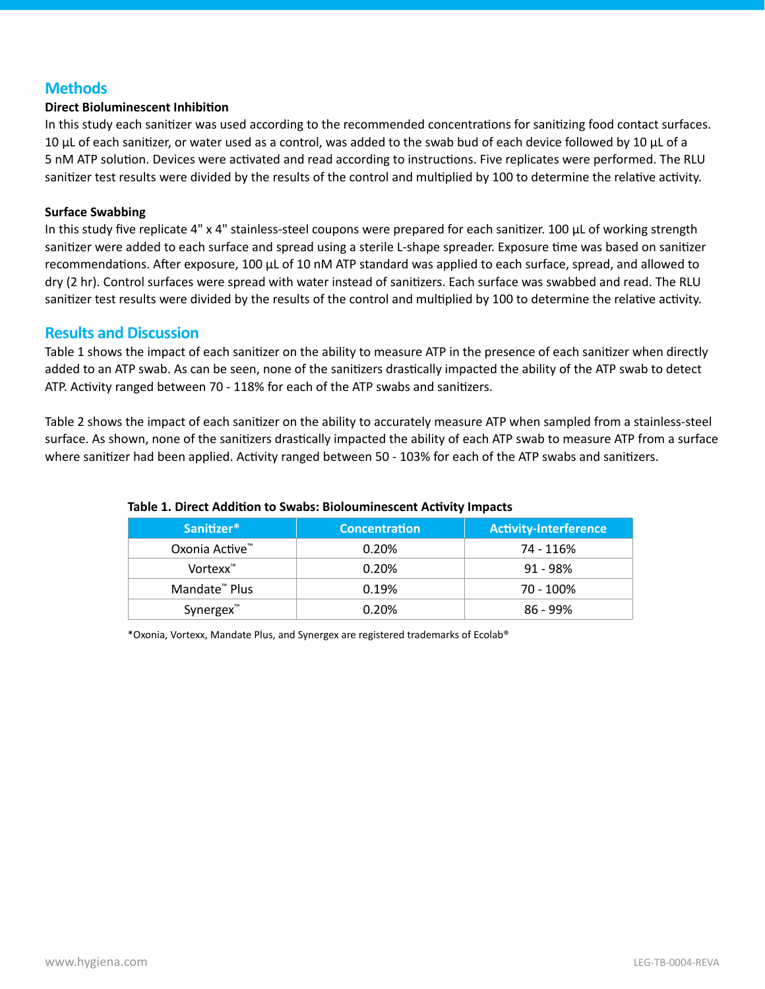### **Methods**

#### **Direct Bioluminescent Inhibition**

In this study each sanitizer was used according to the recommended concentrations for sanitizing food contact surfaces. 10 μL of each sanitizer, or water used as a control, was added to the swab bud of each device followed by 10 μL of a 5 nM ATP solution. Devices were activated and read according to instructions. Five replicates were performed. The RLU sanitizer test results were divided by the results of the control and multiplied by 100 to determine the relative activity.

#### **Surface Swabbing**

In this study five replicate 4" x 4" stainless-steel coupons were prepared for each sanitizer. 100  $\mu$ L of working strength sanitizer were added to each surface and spread using a sterile L-shape spreader. Exposure time was based on sanitizer recommendations. After exposure, 100 μL of 10 nM ATP standard was applied to each surface, spread, and allowed to dry (2 hr). Control surfaces were spread with water instead of sanitizers. Each surface was swabbed and read. The RLU sanitizer test results were divided by the results of the control and multiplied by 100 to determine the relative activity.

#### **Results and Discussion**

Table 1 shows the impact of each sanitizer on the ability to measure ATP in the presence of each sanitizer when directly added to an ATP swab. As can be seen, none of the sanitizers drastically impacted the ability of the ATP swab to detect ATP. Activity ranged between 70 - 118% for each of the ATP swabs and sanitizers.

Table 2 shows the impact of each sanitizer on the ability to accurately measure ATP when sampled from a stainless-steel surface. As shown, none of the sanitizers drastically impacted the ability of each ATP swab to measure ATP from a surface where sanitizer had been applied. Activity ranged between 50 - 103% for each of the ATP swabs and sanitizers.

| Sanitizer*                | <b>Concentration</b> | <b>Activity-Interference</b> |  |
|---------------------------|----------------------|------------------------------|--|
| Oxonia Active™            | 0.20%                | 74 - 116%                    |  |
| Vortexx <sup>™</sup>      | 0.20%                | $91 - 98%$                   |  |
| Mandate <sup>™</sup> Plus | 0.19%                | 70 - 100%                    |  |
| Synergex <sup>™</sup>     | 0.20%                | $86 - 99%$                   |  |

#### **Table 1. Direct Addition to Swabs: Biolouminescent Activity Impacts**

\*Oxonia, Vortexx, Mandate Plus, and Synergex are registered trademarks of Ecolab®